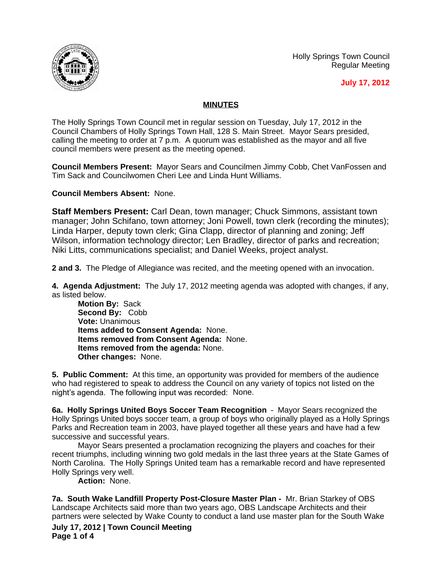



**July 17, 2012**

## **MINUTES**

The Holly Springs Town Council met in regular session on Tuesday, July 17, 2012 in the Council Chambers of Holly Springs Town Hall, 128 S. Main Street. Mayor Sears presided, calling the meeting to order at 7 p.m. A quorum was established as the mayor and all five council members were present as the meeting opened.

**Council Members Present:** Mayor Sears and Councilmen Jimmy Cobb, Chet VanFossen and Tim Sack and Councilwomen Cheri Lee and Linda Hunt Williams.

**Council Members Absent:** None.

**Staff Members Present:** Carl Dean, town manager; Chuck Simmons, assistant town manager; John Schifano, town attorney; Joni Powell, town clerk (recording the minutes); Linda Harper, deputy town clerk; Gina Clapp, director of planning and zoning; Jeff Wilson, information technology director; Len Bradley, director of parks and recreation; Niki Litts, communications specialist; and Daniel Weeks, project analyst.

**2 and 3.** The Pledge of Allegiance was recited, and the meeting opened with an invocation.

**4. Agenda Adjustment:** The July 17, 2012 meeting agenda was adopted with changes, if any, as listed below.

**Motion By:** Sack **Second By:** Cobb **Vote:** Unanimous **Items added to Consent Agenda:** None. **Items removed from Consent Agenda:** None. **Items removed from the agenda:** None. **Other changes:** None.

**5. Public Comment:** At this time, an opportunity was provided for members of the audience who had registered to speak to address the Council on any variety of topics not listed on the night's agenda. The following input was recorded: None.

**6a. Holly Springs United Boys Soccer Team Recognition** – Mayor Sears recognized the Holly Springs United boys soccer team, a group of boys who originally played as a Holly Springs Parks and Recreation team in 2003, have played together all these years and have had a few successive and successful years.

Mayor Sears presented a proclamation recognizing the players and coaches for their recent triumphs, including winning two gold medals in the last three years at the State Games of North Carolina. The Holly Springs United team has a remarkable record and have represented Holly Springs very well.

**Action:** None.

**7a. South Wake Landfill Property Post-Closure Master Plan -** Mr. Brian Starkey of OBS Landscape Architects said more than two years ago, OBS Landscape Architects and their partners were selected by Wake County to conduct a land use master plan for the South Wake

**July 17, 2012 | Town Council Meeting Page 1 of 4**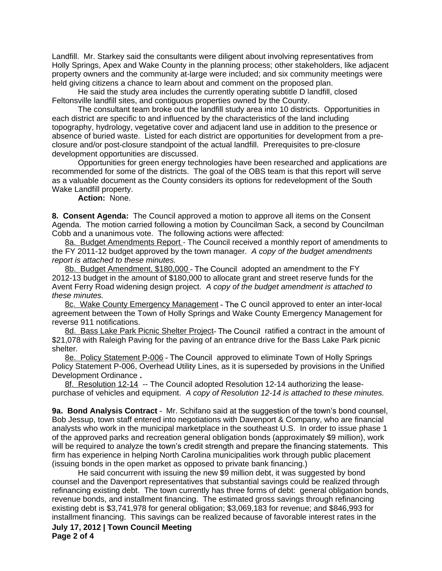Landfill. Mr. Starkey said the consultants were diligent about involving representatives from Holly Springs, Apex and Wake County in the planning process; other stakeholders, like adjacent property owners and the community at-large were included; and six community meetings were held giving citizens a chance to learn about and comment on the proposed plan.

He said the study area includes the currently operating subtitle D landfill, closed Feltonsville landfill sites, and contiguous properties owned by the County.

The consultant team broke out the landfill study area into 10 districts. Opportunities in each district are specific to and influenced by the characteristics of the land including topography, hydrology, vegetative cover and adjacent land use in addition to the presence or absence of buried waste. Listed for each district are opportunities for development from a preclosure and/or post-closure standpoint of the actual landfill. Prerequisites to pre-closure development opportunities are discussed.

Opportunities for green energy technologies have been researched and applications are recommended for some of the districts. The goal of the OBS team is that this report will serve as a valuable document as the County considers its options for redevelopment of the South Wake Landfill property.

**Action:** None.

**8. Consent Agenda:** The Council approved a motion to approve all items on the Consent Agenda. The motion carried following a motion by Councilman Sack, a second by Councilman Cobb and a unanimous vote. The following actions were affected:

8a. Budget Amendments Report - The Council received a monthly report of amendments to the FY 2011-12 budget approved by the town manager. *A copy of the budget amendments report is attached to these minutes.*

8b. Budget Amendment, \$180,000 - The Council adopted an amendment to the FY 2012-13 budget in the amount of \$180,000 to allocate grant and street reserve funds for the Avent Ferry Road widening design project. *A copy of the budget amendment is attached to these minutes.*

8c. Wake County Emergency Management – The C ouncil approved to enter an inter-local agreement between the Town of Holly Springs and Wake County Emergency Management for reverse 911 notifications.

8d. Bass Lake Park Picnic Shelter Project– The Council ratified a contract in the amount of \$21,078 with Raleigh Paving for the paving of an entrance drive for the Bass Lake Park picnic shelter*.*

8e. Policy Statement P-006 - The Council approved to eliminate Town of Holly Springs Policy Statement P-006, Overhead Utility Lines, as it is superseded by provisions in the Unified Development Ordinance **.**

8f. Resolution 12-14 -- The Council adopted Resolution 12-14 authorizing the leasepurchase of vehicles and equipment. *A copy of Resolution 12-14 is attached to these minutes.*

**9a. Bond Analysis Contract** – Mr. Schifano said at the suggestion of the town's bond counsel, Bob Jessup, town staff entered into negotiations with Davenport & Company, who are financial analysts who work in the municipal marketplace in the southeast U.S. In order to issue phase 1 of the approved parks and recreation general obligation bonds (approximately \$9 million), work will be required to analyze the town's credit strength and prepare the financing statements. This firm has experience in helping North Carolina municipalities work through public placement (issuing bonds in the open market as opposed to private bank financing.)

**July 17, 2012 | Town Council Meeting Page 2 of 4** He said concurrent with issuing the new \$9 million debt, it was suggested by bond counsel and the Davenport representatives that substantial savings could be realized through refinancing existing debt. The town currently has three forms of debt: general obligation bonds, revenue bonds, and installment financing. The estimated gross savings through refinancing existing debt is \$3,741,978 for general obligation; \$3,069,183 for revenue; and \$846,993 for installment financing. This savings can be realized because of favorable interest rates in the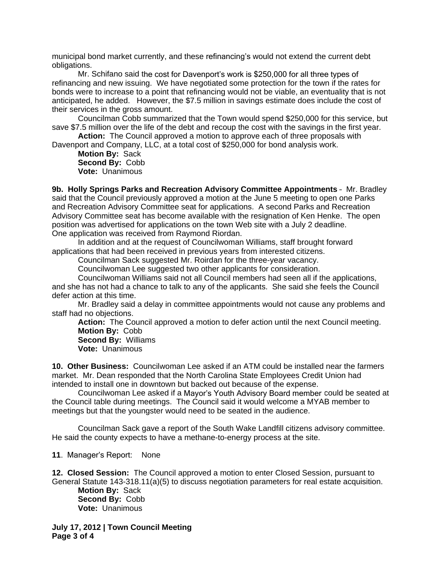municipal bond market currently, and these refinancing's would not extend the current debt obligations.

Mr. Schifano said the cost for Davenport's work is \$250,000 for all three types of refinancing and new issuing. We have negotiated some protection for the town if the rates for bonds were to increase to a point that refinancing would not be viable, an eventuality that is not anticipated, he added. However, the \$7.5 million in savings estimate does include the cost of their services in the gross amount.

Councilman Cobb summarized that the Town would spend \$250,000 for this service, but save \$7.5 million over the life of the debt and recoup the cost with the savings in the first year.

**Action:** The Council approved a motion to approve each of three proposals with Davenport and Company, LLC, at a total cost of \$250,000 for bond analysis work.

**Motion By:** Sack **Second By:** Cobb **Vote:** Unanimous

**9b. Holly Springs Parks and Recreation Advisory Committee Appointments** – Mr. Bradley said that the Council previously approved a motion at the June 5 meeting to open one Parks and Recreation Advisory Committee seat for applications. A second Parks and Recreation Advisory Committee seat has become available with the resignation of Ken Henke. The open position was advertised for applications on the town Web site with a July 2 deadline. One application was received from Raymond Riordan.

In addition and at the request of Councilwoman Williams, staff brought forward applications that had been received in previous years from interested citizens.

Councilman Sack suggested Mr. Roirdan for the three-year vacancy.

Councilwoman Lee suggested two other applicants for consideration.

Councilwoman Williams said not all Council members had seen all if the applications, and she has not had a chance to talk to any of the applicants. She said she feels the Council defer action at this time.

Mr. Bradley said a delay in committee appointments would not cause any problems and staff had no objections.

**Action:** The Council approved a motion to defer action until the next Council meeting. **Motion By:** Cobb

**Second By:** Williams **Vote:** Unanimous

**10. Other Business:** Councilwoman Lee asked if an ATM could be installed near the farmers market. Mr. Dean responded that the North Carolina State Employees Credit Union had intended to install one in downtown but backed out because of the expense.

Councilwoman Lee asked if a Mayor's Youth Advisory Board member could be seated at the Council table during meetings. The Council said it would welcome a MYAB member to meetings but that the youngster would need to be seated in the audience.

Councilman Sack gave a report of the South Wake Landfill citizens advisory committee. He said the county expects to have a methane-to-energy process at the site.

**11**. Manager's Report: None

**12. Closed Session:** The Council approved a motion to enter Closed Session, pursuant to General Statute 143-318.11(a)(5) to discuss negotiation parameters for real estate acquisition.

**Motion By:** Sack **Second By:** Cobb **Vote:** Unanimous

**July 17, 2012 | Town Council Meeting Page 3 of 4**